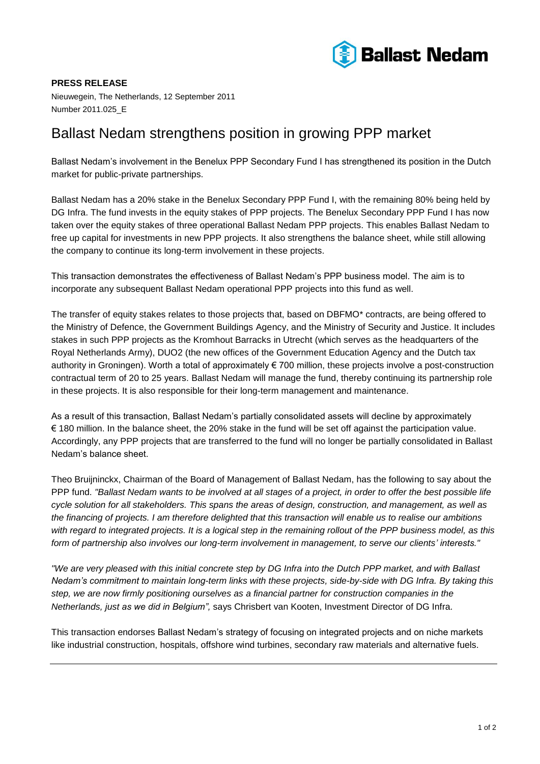

**PRESS RELEASE** Nieuwegein, The Netherlands, 12 September 2011 Number 2011.025\_E

# Ballast Nedam strengthens position in growing PPP market

Ballast Nedam's involvement in the Benelux PPP Secondary Fund I has strengthened its position in the Dutch market for public-private partnerships.

Ballast Nedam has a 20% stake in the Benelux Secondary PPP Fund I, with the remaining 80% being held by DG Infra. The fund invests in the equity stakes of PPP projects. The Benelux Secondary PPP Fund I has now taken over the equity stakes of three operational Ballast Nedam PPP projects. This enables Ballast Nedam to free up capital for investments in new PPP projects. It also strengthens the balance sheet, while still allowing the company to continue its long-term involvement in these projects.

This transaction demonstrates the effectiveness of Ballast Nedam's PPP business model. The aim is to incorporate any subsequent Ballast Nedam operational PPP projects into this fund as well.

The transfer of equity stakes relates to those projects that, based on DBFMO\* contracts, are being offered to the Ministry of Defence, the Government Buildings Agency, and the Ministry of Security and Justice. It includes stakes in such PPP projects as the Kromhout Barracks in Utrecht (which serves as the headquarters of the Royal Netherlands Army), DUO2 (the new offices of the Government Education Agency and the Dutch tax authority in Groningen). Worth a total of approximately € 700 million, these projects involve a post-construction contractual term of 20 to 25 years. Ballast Nedam will manage the fund, thereby continuing its partnership role in these projects. It is also responsible for their long-term management and maintenance.

As a result of this transaction, Ballast Nedam's partially consolidated assets will decline by approximately € 180 million. In the balance sheet, the 20% stake in the fund will be set off against the participation value. Accordingly, any PPP projects that are transferred to the fund will no longer be partially consolidated in Ballast Nedam's balance sheet.

Theo Bruijninckx, Chairman of the Board of Management of Ballast Nedam, has the following to say about the PPP fund. *"Ballast Nedam wants to be involved at all stages of a project, in order to offer the best possible life cycle solution for all stakeholders. This spans the areas of design, construction, and management, as well as the financing of projects. I am therefore delighted that this transaction will enable us to realise our ambitions with regard to integrated projects. It is a logical step in the remaining rollout of the PPP business model, as this form of partnership also involves our long-term involvement in management, to serve our clients' interests."*

*"We are very pleased with this initial concrete step by DG Infra into the Dutch PPP market, and with Ballast Nedam's commitment to maintain long-term links with these projects, side-by-side with DG Infra. By taking this step, we are now firmly positioning ourselves as a financial partner for construction companies in the Netherlands, just as we did in Belgium",* says Chrisbert van Kooten, Investment Director of DG Infra.

This transaction endorses Ballast Nedam's strategy of focusing on integrated projects and on niche markets like industrial construction, hospitals, offshore wind turbines, secondary raw materials and alternative fuels.